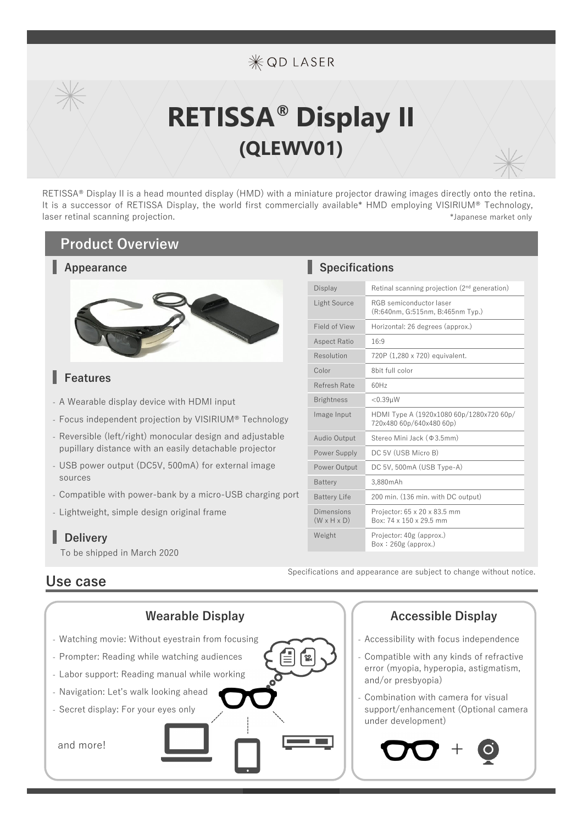# **\*OD LASER**

# **RETISSA® Display II (QLEWV01)**

RETISSA® Display II is a head mounted display (HMD) with a miniature projector drawing images directly onto the retina. It is a successor of RETISSA Display, the world first commercially available\* HMD employing VISIRIUM® Technology, laser retinal scanning projection. The second second second second second property and the second second second second second second second second second second second second second second second second second second secon

#### **Product Overview**

#### **Appearance**



#### **Features**

- A Wearable display device with HDMI input
- Focus independent projection by VISIRIUM® Technology
- Reversible (left/right) monocular design and adjustable pupillary distance with an easily detachable projector
- USB power output (DC5V, 500mA) for external image sources
- Compatible with power-bank by a micro-USB charging port
- Lightweight, simple design original frame

### **Delivery**

To be shipped in March 2020

### **Use case**



#### **Specifications**

| <b>Display</b>                        | Retinal scanning projection (2 <sup>nd</sup> generation)             |
|---------------------------------------|----------------------------------------------------------------------|
| Light Source                          | RGB semiconductor laser<br>(R:640nm, G:515nm, B:465nm Typ.)          |
| Field of View                         | Horizontal: 26 degrees (approx.)                                     |
| <b>Aspect Ratio</b>                   | 16:9                                                                 |
| Resolution                            | 720P (1,280 x 720) equivalent.                                       |
| Color                                 | 8bit full color                                                      |
| Refresh Rate                          | 60H <sub>z</sub>                                                     |
| <b>Brightness</b>                     | $<$ 0.39 $\mu$ W                                                     |
| Image Input                           | HDMI Type A (1920x1080 60p/1280x720 60p/<br>720x480 60p/640x480 60p) |
| Audio Output                          | Stereo Mini Jack (\$3.5mm)                                           |
| Power Supply                          | DC 5V (USB Micro B)                                                  |
| Power Output                          | DC 5V, 500mA (USB Type-A)                                            |
| <b>Battery</b>                        | 3.880mAh                                                             |
| <b>Battery Life</b>                   | 200 min. (136 min. with DC output)                                   |
| Dimensions<br>$(W \times H \times D)$ | Projector: 65 x 20 x 83.5 mm<br>Box: 74 x 150 x 29.5 mm              |
| Weight                                | Projector: 40g (approx.)<br>$Box: 260g$ (approx.)                    |

Specifications and appearance are subject to change without notice.

- Accessibility with focus independence
- Compatible with any kinds of refractive error (myopia, hyperopia, astigmatism, and/or presbyopia)
- Combination with camera for visual support/enhancement (Optional camera under development)